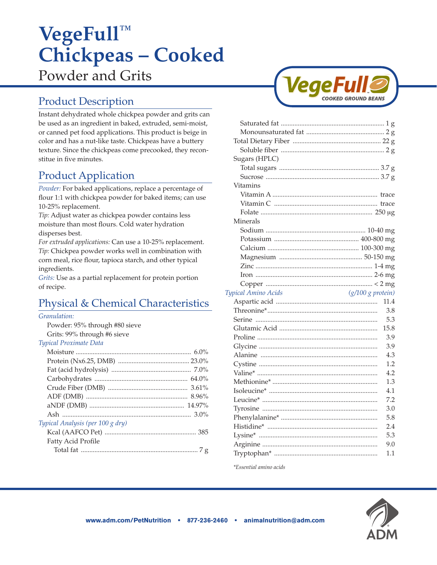# **VegeFull™ Chickpeas – Cooked**  Powder and Grits

# Product Description

Instant dehydrated whole chickpea powder and grits can be used as an ingredient in baked, extruded, semi-moist, or canned pet food applications. This product is beige in color and has a nut-like taste. Chickpeas have a buttery texture. Since the chickpeas come precooked, they reconstitue in five minutes.

# Product Application

*Powder:* For baked applications, replace a percentage of flour 1:1 with chickpea powder for baked items; can use 10-25% replacement.

*Tip:* Adjust water as chickpea powder contains less moisture than most flours. Cold water hydration disperses best.

*For extruded applications:* Can use a 10-25% replacement. *Tip:* Chickpea powder works well in combination with corn meal, rice flour, tapioca starch, and other typical ingredients.

*Grits:* Use as a partial replacement for protein portion of recipe.

# Physical & Chemical Characteristics

#### *Granulation:*

Powder: 95% through #80 sieve Grits: 99% through #6 sieve

#### *Typical Proximate Data*

| Typical Analysis (per 100 g dry) |  |
|----------------------------------|--|
|                                  |  |
| Fatty Acid Profile               |  |
|                                  |  |
|                                  |  |



| Sugars (HPLC)                              |            |
|--------------------------------------------|------------|
|                                            |            |
|                                            |            |
| Vitamins                                   |            |
|                                            |            |
|                                            |            |
|                                            |            |
|                                            |            |
| Minerals                                   |            |
|                                            |            |
|                                            |            |
|                                            |            |
|                                            |            |
|                                            |            |
|                                            |            |
|                                            |            |
|                                            |            |
| $(g/100 g$ protein)<br>Typical Amino Acids |            |
|                                            | 11.4       |
|                                            | 3.8        |
|                                            | 5.3        |
|                                            | 15.8       |
|                                            | 3.9        |
|                                            | 3.9        |
|                                            | 4.3        |
|                                            | 1.2        |
|                                            | 4.2        |
|                                            | 1.3        |
|                                            | 4.1        |
|                                            | 7.2        |
|                                            | 3.0        |
|                                            | 5.8        |
|                                            | 2.4        |
|                                            | 5.3        |
|                                            | 9.0<br>1.1 |

*\*Essential amino acids*